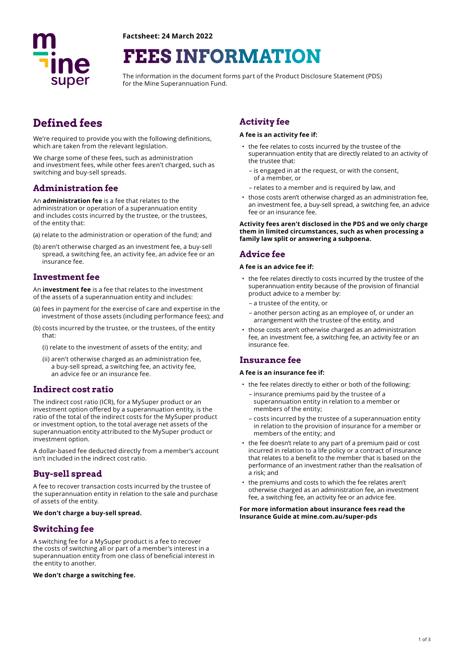

**Factsheet: 24 March 2022** 

# **FEES INFORMATION**

The information in the document forms part of the Product Disclosure Statement (PDS) for the Mine Superannuation Fund.

# **Defined fees**

We're required to provide you with the following definitions, which are taken from the relevant legislation.

We charge some of these fees, such as administration and investment fees, while other fees aren't charged, such as switching and buy-sell spreads.

## **Administration fee**

An **administration fee** is a fee that relates to the administration or operation of a superannuation entity and includes costs incurred by the trustee, or the trustees, of the entity that:

- (a) relate to the administration or operation of the fund; and
- (b) aren't otherwise charged as an investment fee, a buy-sell spread, a switching fee, an activity fee, an advice fee or an insurance fee.

### **Investment fee**

An **investment fee** is a fee that relates to the investment of the assets of a superannuation entity and includes:

- (a) fees in payment for the exercise of care and expertise in the investment of those assets (including performance fees); and
- (b) costs incurred by the trustee, or the trustees, of the entity that:
	- (i) relate to the investment of assets of the entity; and
	- (ii) aren't otherwise charged as an administration fee, a buy-sell spread, a switching fee, an activity fee, an advice fee or an insurance fee.

### **Indirect cost ratio**

The indirect cost ratio (ICR), for a MySuper product or an investment option offered by a superannuation entity, is the ratio of the total of the indirect costs for the MySuper product or investment option, to the total average net assets of the superannuation entity attributed to the MySuper product or investment option.

A dollar-based fee deducted directly from a member's account isn't included in the indirect cost ratio.

### **Buy-sell spread**

A fee to recover transaction costs incurred by the trustee of the superannuation entity in relation to the sale and purchase of assets of the entity.

#### **We don't charge a buy-sell spread.**

#### **Switching fee**

A switching fee for a MySuper product is a fee to recover the costs of switching all or part of a member's interest in a superannuation entity from one class of beneficial interest in the entity to another.

#### **We don't charge a switching fee.**

# **Activity fee**

#### **A fee is an activity fee if:**

- the fee relates to costs incurred by the trustee of the superannuation entity that are directly related to an activity of the trustee that:
	- is engaged in at the request, or with the consent, of a member, or
	- relates to a member and is required by law, and
- those costs aren't otherwise charged as an administration fee, an investment fee, a buy-sell spread, a switching fee, an advice fee or an insurance fee.

**Activity fees aren't disclosed in the PDS and we only charge them in limited circumstances, such as when processing a family law split or answering a subpoena.** 

#### **Advice fee**

#### **A fee is an advice fee if:**

- the fee relates directly to costs incurred by the trustee of the superannuation entity because of the provision of fnancial product advice to a member by:
	- a trustee of the entity, or
	- another person acting as an employee of, or under an arrangement with the trustee of the entity, and
- those costs aren't otherwise charged as an administration fee, an investment fee, a switching fee, an activity fee or an insurance fee.

#### **Insurance fee**

#### **A fee is an insurance fee if:**

- the fee relates directly to either or both of the following: – insurance premiums paid by the trustee of a superannuation entity in relation to a member or members of the entity;
	- costs incurred by the trustee of a superannuation entity in relation to the provision of insurance for a member or members of the entity; and
- the fee doesn't relate to any part of a premium paid or cost incurred in relation to a life policy or a contract of insurance that relates to a beneft to the member that is based on the performance of an investment rather than the realisation of .<br>a risk: and
- the premiums and costs to which the fee relates aren't otherwise charged as an administration fee, an investment fee, a switching fee, an activity fee or an advice fee.

#### **For more information about insurance fees read the Insurance Guide at mine.com.au/super-pds**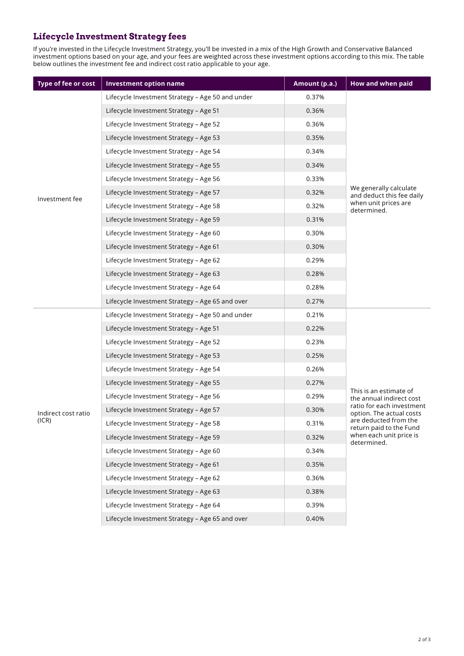# **Lifecycle Investment Strategy fees**

If you're invested in the Lifecycle Investment Strategy, you'll be invested in a mix of the High Growth and Conservative Balanced investment options based on your age, and your fees are weighted across these investment options according to this mix. The table below outlines the investment fee and indirect cost ratio applicable to your age.

| Type of fee or cost          | <b>Investment option name</b>                    | Amount (p.a.) | How and when paid                                                                                                                                                                                         |
|------------------------------|--------------------------------------------------|---------------|-----------------------------------------------------------------------------------------------------------------------------------------------------------------------------------------------------------|
| Investment fee               | Lifecycle Investment Strategy - Age 50 and under | 0.37%         | We generally calculate<br>and deduct this fee daily<br>when unit prices are<br>determined.                                                                                                                |
|                              | Lifecycle Investment Strategy - Age 51           | 0.36%         |                                                                                                                                                                                                           |
|                              | Lifecycle Investment Strategy - Age 52           | 0.36%         |                                                                                                                                                                                                           |
|                              | Lifecycle Investment Strategy - Age 53           | 0.35%         |                                                                                                                                                                                                           |
|                              | Lifecycle Investment Strategy - Age 54           | 0.34%         |                                                                                                                                                                                                           |
|                              | Lifecycle Investment Strategy - Age 55           | 0.34%         |                                                                                                                                                                                                           |
|                              | Lifecycle Investment Strategy - Age 56           | 0.33%         |                                                                                                                                                                                                           |
|                              | Lifecycle Investment Strategy - Age 57           | 0.32%         |                                                                                                                                                                                                           |
|                              | Lifecycle Investment Strategy - Age 58           | 0.32%         |                                                                                                                                                                                                           |
|                              | Lifecycle Investment Strategy - Age 59           | 0.31%         |                                                                                                                                                                                                           |
|                              | Lifecycle Investment Strategy - Age 60           | 0.30%         |                                                                                                                                                                                                           |
|                              | Lifecycle Investment Strategy - Age 61           | 0.30%         |                                                                                                                                                                                                           |
|                              | Lifecycle Investment Strategy - Age 62           | 0.29%         |                                                                                                                                                                                                           |
|                              | Lifecycle Investment Strategy - Age 63           | 0.28%         |                                                                                                                                                                                                           |
|                              | Lifecycle Investment Strategy - Age 64           | 0.28%         |                                                                                                                                                                                                           |
|                              | Lifecycle Investment Strategy - Age 65 and over  | 0.27%         |                                                                                                                                                                                                           |
| Indirect cost ratio<br>(ICR) | Lifecycle Investment Strategy - Age 50 and under | 0.21%         | This is an estimate of<br>the annual indirect cost<br>ratio for each investment<br>option. The actual costs<br>are deducted from the<br>return paid to the Fund<br>when each unit price is<br>determined. |
|                              | Lifecycle Investment Strategy - Age 51           | 0.22%         |                                                                                                                                                                                                           |
|                              | Lifecycle Investment Strategy - Age 52           | 0.23%         |                                                                                                                                                                                                           |
|                              | Lifecycle Investment Strategy - Age 53           | 0.25%         |                                                                                                                                                                                                           |
|                              | Lifecycle Investment Strategy - Age 54           | 0.26%         |                                                                                                                                                                                                           |
|                              | Lifecycle Investment Strategy - Age 55           | 0.27%         |                                                                                                                                                                                                           |
|                              | Lifecycle Investment Strategy - Age 56           | 0.29%         |                                                                                                                                                                                                           |
|                              | Lifecycle Investment Strategy - Age 57           | 0.30%         |                                                                                                                                                                                                           |
|                              | Lifecycle Investment Strategy - Age 58           | 0.31%         |                                                                                                                                                                                                           |
|                              | Lifecycle Investment Strategy - Age 59           | 0.32%         |                                                                                                                                                                                                           |
|                              | Lifecycle Investment Strategy - Age 60           | 0.34%         |                                                                                                                                                                                                           |
|                              | Lifecycle Investment Strategy - Age 61           | 0.35%         |                                                                                                                                                                                                           |
|                              | Lifecycle Investment Strategy - Age 62           | 0.36%         |                                                                                                                                                                                                           |
|                              | Lifecycle Investment Strategy - Age 63           | 0.38%         |                                                                                                                                                                                                           |
|                              | Lifecycle Investment Strategy - Age 64           | 0.39%         |                                                                                                                                                                                                           |
|                              | Lifecycle Investment Strategy - Age 65 and over  | 0.40%         |                                                                                                                                                                                                           |